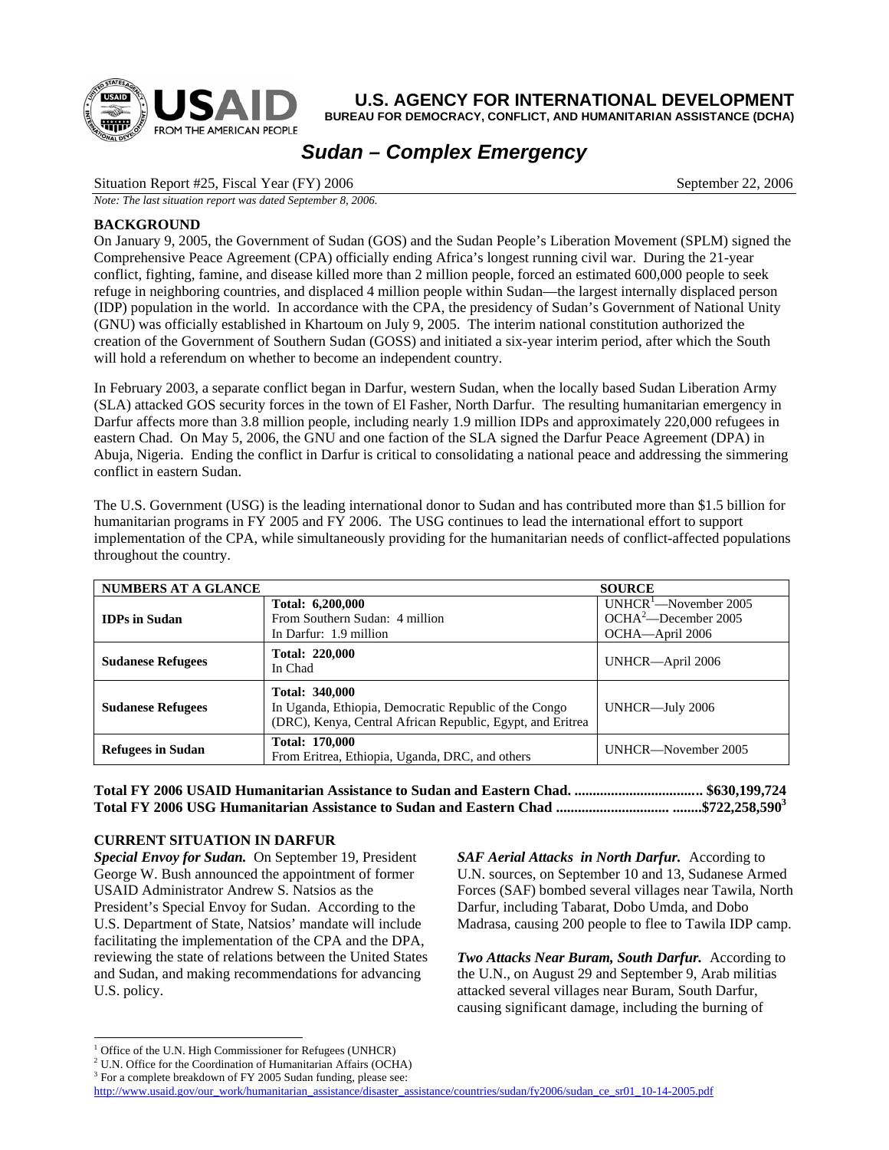

**U.S. AGENCY FOR INTERNATIONAL DEVELOPMENT**

**BUREAU FOR DEMOCRACY, CONFLICT, AND HUMANITARIAN ASSISTANCE (DCHA)**

# *Sudan – Complex Emergency*

Situation Report #25, Fiscal Year (FY) 2006 September 22, 2006

*Note: The last situation report was dated September 8, 2006.*

#### **BACKGROUND**

On January 9, 2005, the Government of Sudan (GOS) and the Sudan People's Liberation Movement (SPLM) signed the Comprehensive Peace Agreement (CPA) officially ending Africa's longest running civil war. During the 21-year conflict, fighting, famine, and disease killed more than 2 million people, forced an estimated 600,000 people to seek refuge in neighboring countries, and displaced 4 million people within Sudan—the largest internally displaced person (IDP) population in the world. In accordance with the CPA, the presidency of Sudan's Government of National Unity (GNU) was officially established in Khartoum on July 9, 2005. The interim national constitution authorized the creation of the Government of Southern Sudan (GOSS) and initiated a six-year interim period, after which the South will hold a referendum on whether to become an independent country.

In February 2003, a separate conflict began in Darfur, western Sudan, when the locally based Sudan Liberation Army (SLA) attacked GOS security forces in the town of El Fasher, North Darfur. The resulting humanitarian emergency in Darfur affects more than 3.8 million people, including nearly 1.9 million IDPs and approximately 220,000 refugees in eastern Chad. On May 5, 2006, the GNU and one faction of the SLA signed the Darfur Peace Agreement (DPA) in Abuja, Nigeria. Ending the conflict in Darfur is critical to consolidating a national peace and addressing the simmering conflict in eastern Sudan.

| <b>NUMBERS AT A GLANCE</b> |                                                                                                                                              | <b>SOURCE</b>                                                                  |
|----------------------------|----------------------------------------------------------------------------------------------------------------------------------------------|--------------------------------------------------------------------------------|
| <b>IDPs in Sudan</b>       | Total: 6,200,000<br>From Southern Sudan: 4 million<br>In Darfur: 1.9 million                                                                 | UNHCR <sup>1</sup> -November 2005<br>$OCHA2$ -December 2005<br>OCHA-April 2006 |
| <b>Sudanese Refugees</b>   | <b>Total: 220,000</b><br>In Chad                                                                                                             | UNHCR-April 2006                                                               |
| <b>Sudanese Refugees</b>   | <b>Total: 340,000</b><br>In Uganda, Ethiopia, Democratic Republic of the Congo<br>(DRC), Kenya, Central African Republic, Egypt, and Eritrea | UNHCR-July 2006                                                                |
| <b>Refugees in Sudan</b>   | <b>Total: 170,000</b><br>From Eritrea, Ethiopia, Uganda, DRC, and others                                                                     | UNHCR-November 2005                                                            |

The U.S. Government (USG) is the leading international donor to Sudan and has contributed more than \$1.5 billion for humanitarian programs in FY 2005 and FY 2006. The USG continues to lead the international effort to support implementation of the CPA, while simultaneously providing for the humanitarian needs of conflict-affected populations throughout the country.

**Total FY 2006 USAID Humanitarian Assistance to Sudan and Eastern Chad. ................................... \$630,199,724 Total FY 2006 USG Humanitarian Assistance to Sudan and Eastern Chad ............................... ........\$722,258,59[03](#page-0-2)**

### **CURRENT SITUATION IN DARFUR**

*Special Envoy for Sudan.* On September 19, President George W. Bush announced the appointment of former USAID Administrator Andrew S. Natsios as the President's Special Envoy for Sudan. According to the U.S. Department of State, Natsios' mandate will include facilitating the implementation of the CPA and the DPA, reviewing the state of relations between the United States and Sudan, and making recommendations for advancing U.S. policy.

*SAF Aerial Attacks in North Darfur.* According to U.N. sources, on September 10 and 13, Sudanese Armed Forces (SAF) bombed several villages near Tawila, North Darfur, including Tabarat, Dobo Umda, and Dobo Madrasa, causing 200 people to flee to Tawila IDP camp.

*Two Attacks Near Buram, South Darfur.* According to the U.N., on August 29 and September 9, Arab militias attacked several villages near Buram, South Darfur, causing significant damage, including the burning of

<span id="page-0-0"></span> $\frac{1}{1}$  $<sup>1</sup>$  Office of the U.N. High Commissioner for Refugees (UNHCR)</sup>

<span id="page-0-1"></span> $2$  U.N. Office for the Coordination of Humanitarian Affairs (OCHA)

<span id="page-0-2"></span><sup>&</sup>lt;sup>3</sup> For a complete breakdown of FY 2005 Sudan funding, please see:

[http://www.usaid.gov/our\\_work/humanitarian\\_assistance/disaster\\_assistance/countries/sudan/fy2006/sudan\\_ce\\_sr01\\_10-14-2005.pdf](http://www.usaid.gov/our_work/humanitarian_assistance/disaster_assistance/countries/sudan/fy2006/sudan_ce_sr01_10-14-2005.pdf)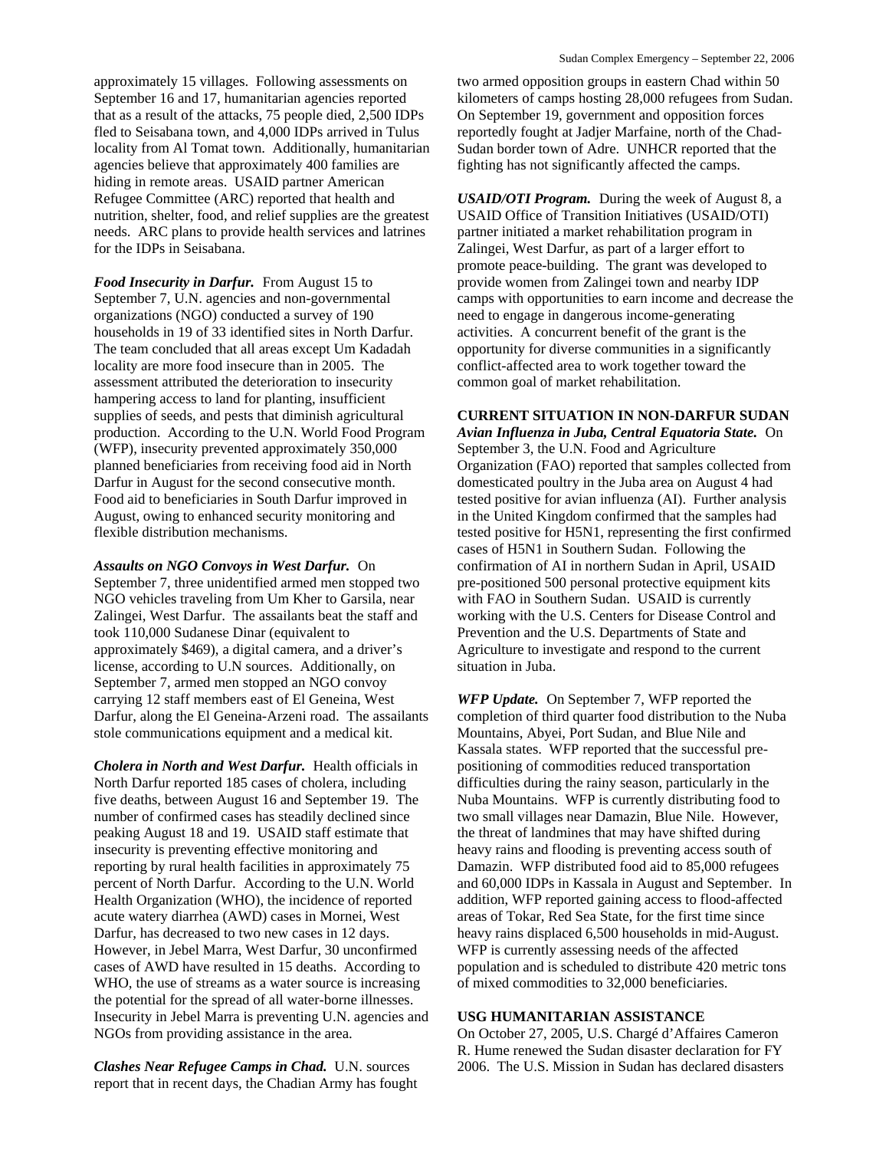approximately 15 villages. Following assessments on September 16 and 17, humanitarian agencies reported that as a result of the attacks, 75 people died, 2,500 IDPs fled to Seisabana town, and 4,000 IDPs arrived in Tulus locality from Al Tomat town. Additionally, humanitarian agencies believe that approximately 400 families are hiding in remote areas. USAID partner American Refugee Committee (ARC) reported that health and nutrition, shelter, food, and relief supplies are the greatest needs. ARC plans to provide health services and latrines for the IDPs in Seisabana.

*Food Insecurity in Darfur.* From August 15 to September 7, U.N. agencies and non-governmental organizations (NGO) conducted a survey of 190 households in 19 of 33 identified sites in North Darfur. The team concluded that all areas except Um Kadadah locality are more food insecure than in 2005. The assessment attributed the deterioration to insecurity hampering access to land for planting, insufficient supplies of seeds, and pests that diminish agricultural production. According to the U.N. World Food Program (WFP), insecurity prevented approximately 350,000 planned beneficiaries from receiving food aid in North Darfur in August for the second consecutive month. Food aid to beneficiaries in South Darfur improved in August, owing to enhanced security monitoring and flexible distribution mechanisms.

*Assaults on NGO Convoys in West Darfur.* On September 7, three unidentified armed men stopped two NGO vehicles traveling from Um Kher to Garsila, near Zalingei, West Darfur. The assailants beat the staff and took 110,000 Sudanese Dinar (equivalent to approximately \$469), a digital camera, and a driver's license, according to U.N sources. Additionally, on September 7, armed men stopped an NGO convoy carrying 12 staff members east of El Geneina, West Darfur, along the El Geneina-Arzeni road. The assailants stole communications equipment and a medical kit.

*Cholera in North and West Darfur.* Health officials in North Darfur reported 185 cases of cholera, including five deaths, between August 16 and September 19. The number of confirmed cases has steadily declined since peaking August 18 and 19. USAID staff estimate that insecurity is preventing effective monitoring and reporting by rural health facilities in approximately 75 percent of North Darfur. According to the U.N. World Health Organization (WHO), the incidence of reported acute watery diarrhea (AWD) cases in Mornei, West Darfur, has decreased to two new cases in 12 days. However, in Jebel Marra, West Darfur, 30 unconfirmed cases of AWD have resulted in 15 deaths. According to WHO, the use of streams as a water source is increasing the potential for the spread of all water-borne illnesses. Insecurity in Jebel Marra is preventing U.N. agencies and NGOs from providing assistance in the area.

*Clashes Near Refugee Camps in Chad.* U.N. sources report that in recent days, the Chadian Army has fought two armed opposition groups in eastern Chad within 50 kilometers of camps hosting 28,000 refugees from Sudan. On September 19, government and opposition forces reportedly fought at Jadjer Marfaine, north of the Chad-Sudan border town of Adre. UNHCR reported that the fighting has not significantly affected the camps.

*USAID/OTI Program.* During the week of August 8, a USAID Office of Transition Initiatives (USAID/OTI) partner initiated a market rehabilitation program in Zalingei, West Darfur, as part of a larger effort to promote peace-building. The grant was developed to provide women from Zalingei town and nearby IDP camps with opportunities to earn income and decrease the need to engage in dangerous income-generating activities. A concurrent benefit of the grant is the opportunity for diverse communities in a significantly conflict-affected area to work together toward the common goal of market rehabilitation.

#### **CURRENT SITUATION IN NON-DARFUR SUDAN**

*Avian Influenza in Juba, Central Equatoria State.*On September 3, the U.N. Food and Agriculture Organization (FAO) reported that samples collected from domesticated poultry in the Juba area on August 4 had tested positive for avian influenza (AI). Further analysis in the United Kingdom confirmed that the samples had tested positive for H5N1, representing the first confirmed cases of H5N1 in Southern Sudan. Following the confirmation of AI in northern Sudan in April, USAID pre-positioned 500 personal protective equipment kits with FAO in Southern Sudan. USAID is currently working with the U.S. Centers for Disease Control and Prevention and the U.S. Departments of State and Agriculture to investigate and respond to the current situation in Juba.

*WFP Update.* On September 7, WFP reported the completion of third quarter food distribution to the Nuba Mountains, Abyei, Port Sudan, and Blue Nile and Kassala states. WFP reported that the successful prepositioning of commodities reduced transportation difficulties during the rainy season, particularly in the Nuba Mountains. WFP is currently distributing food to two small villages near Damazin, Blue Nile. However, the threat of landmines that may have shifted during heavy rains and flooding is preventing access south of Damazin. WFP distributed food aid to 85,000 refugees and 60,000 IDPs in Kassala in August and September. In addition, WFP reported gaining access to flood-affected areas of Tokar, Red Sea State, for the first time since heavy rains displaced 6,500 households in mid-August. WFP is currently assessing needs of the affected population and is scheduled to distribute 420 metric tons of mixed commodities to 32,000 beneficiaries.

#### **USG HUMANITARIAN ASSISTANCE**

On October 27, 2005, U.S. Chargé d'Affaires Cameron R. Hume renewed the Sudan disaster declaration for FY 2006. The U.S. Mission in Sudan has declared disasters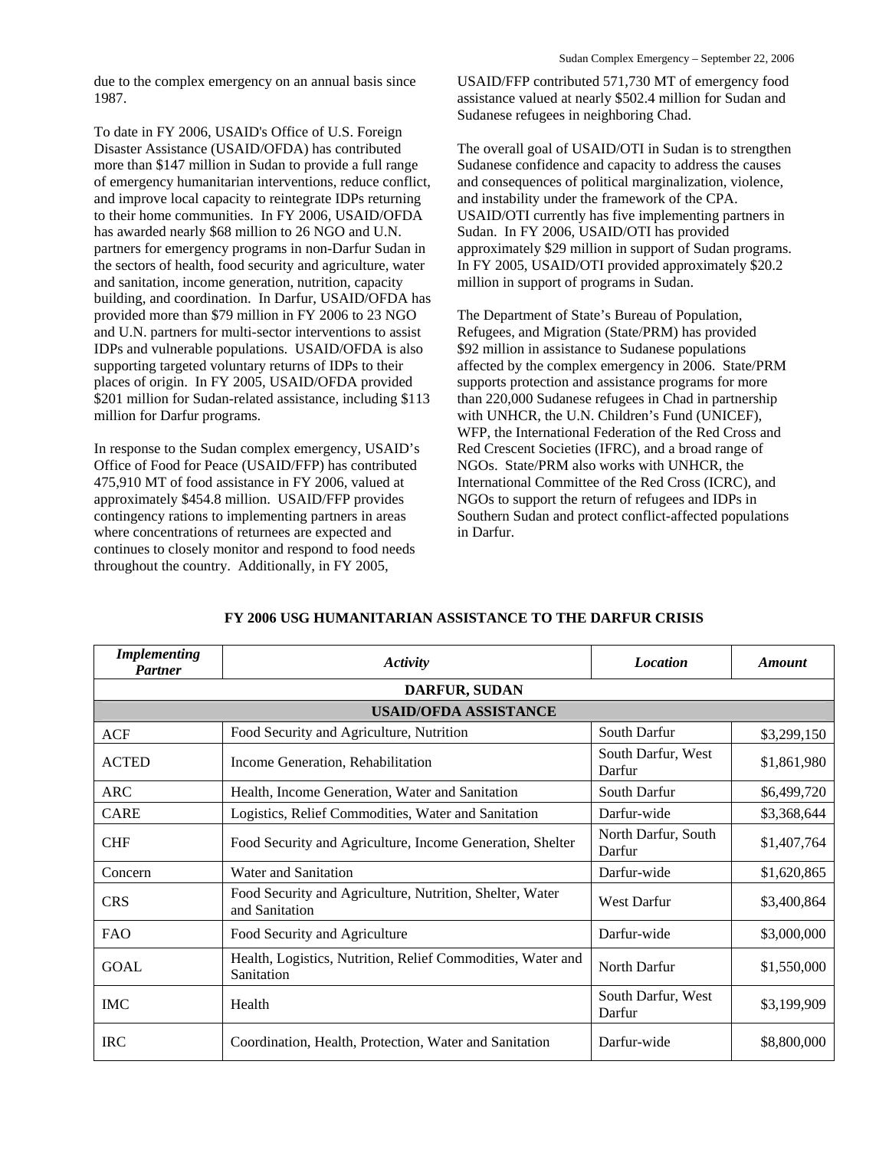due to the complex emergency on an annual basis since 1987.

To date in FY 2006, USAID's Office of U.S. Foreign Disaster Assistance (USAID/OFDA) has contributed more than \$147 million in Sudan to provide a full range of emergency humanitarian interventions, reduce conflict, and improve local capacity to reintegrate IDPs returning to their home communities. In FY 2006, USAID/OFDA has awarded nearly \$68 million to 26 NGO and U.N. partners for emergency programs in non-Darfur Sudan in the sectors of health, food security and agriculture, water and sanitation, income generation, nutrition, capacity building, and coordination. In Darfur, USAID/OFDA has provided more than \$79 million in FY 2006 to 23 NGO and U.N. partners for multi-sector interventions to assist IDPs and vulnerable populations. USAID/OFDA is also supporting targeted voluntary returns of IDPs to their places of origin. In FY 2005, USAID/OFDA provided \$201 million for Sudan-related assistance, including \$113 million for Darfur programs.

In response to the Sudan complex emergency, USAID's Office of Food for Peace (USAID/FFP) has contributed 475,910 MT of food assistance in FY 2006, valued at approximately \$454.8 million. USAID/FFP provides contingency rations to implementing partners in areas where concentrations of returnees are expected and continues to closely monitor and respond to food needs throughout the country. Additionally, in FY 2005,

USAID/FFP contributed 571,730 MT of emergency food assistance valued at nearly \$502.4 million for Sudan and Sudanese refugees in neighboring Chad.

The overall goal of USAID/OTI in Sudan is to strengthen Sudanese confidence and capacity to address the causes and consequences of political marginalization, violence, and instability under the framework of the CPA. USAID/OTI currently has five implementing partners in Sudan. In FY 2006, USAID/OTI has provided approximately \$29 million in support of Sudan programs. In FY 2005, USAID/OTI provided approximately \$20.2 million in support of programs in Sudan.

The Department of State's Bureau of Population, Refugees, and Migration (State/PRM) has provided \$92 million in assistance to Sudanese populations affected by the complex emergency in 2006. State/PRM supports protection and assistance programs for more than 220,000 Sudanese refugees in Chad in partnership with UNHCR, the U.N. Children's Fund (UNICEF), WFP, the International Federation of the Red Cross and Red Crescent Societies (IFRC), and a broad range of NGOs. State/PRM also works with UNHCR, the International Committee of the Red Cross (ICRC), and NGOs to support the return of refugees and IDPs in Southern Sudan and protect conflict-affected populations in Darfur.

| <b>Implementing</b><br><b>Partner</b> | <b>Activity</b>                                                            | <b>Location</b>               | <b>Amount</b> |
|---------------------------------------|----------------------------------------------------------------------------|-------------------------------|---------------|
|                                       | <b>DARFUR, SUDAN</b>                                                       |                               |               |
|                                       | <b>USAID/OFDA ASSISTANCE</b>                                               |                               |               |
| <b>ACF</b>                            | Food Security and Agriculture, Nutrition                                   | South Darfur                  | \$3,299,150   |
| <b>ACTED</b>                          | Income Generation, Rehabilitation                                          | South Darfur, West<br>Darfur  | \$1,861,980   |
| <b>ARC</b>                            | Health, Income Generation, Water and Sanitation                            | South Darfur                  | \$6,499,720   |
| <b>CARE</b>                           | Logistics, Relief Commodities, Water and Sanitation                        | Darfur-wide                   | \$3,368,644   |
| <b>CHF</b>                            | Food Security and Agriculture, Income Generation, Shelter                  | North Darfur, South<br>Darfur | \$1,407,764   |
| Concern                               | Water and Sanitation                                                       | Darfur-wide                   | \$1,620,865   |
| <b>CRS</b>                            | Food Security and Agriculture, Nutrition, Shelter, Water<br>and Sanitation | <b>West Darfur</b>            | \$3,400,864   |
| <b>FAO</b>                            | Food Security and Agriculture                                              | Darfur-wide                   | \$3,000,000   |
| <b>GOAL</b>                           | Health, Logistics, Nutrition, Relief Commodities, Water and<br>Sanitation  | North Darfur                  | \$1,550,000   |
| <b>IMC</b>                            | Health                                                                     | South Darfur, West<br>Darfur  | \$3,199,909   |
| <b>IRC</b>                            | Coordination, Health, Protection, Water and Sanitation                     | Darfur-wide                   | \$8,800,000   |

#### **FY 2006 USG HUMANITARIAN ASSISTANCE TO THE DARFUR CRISIS**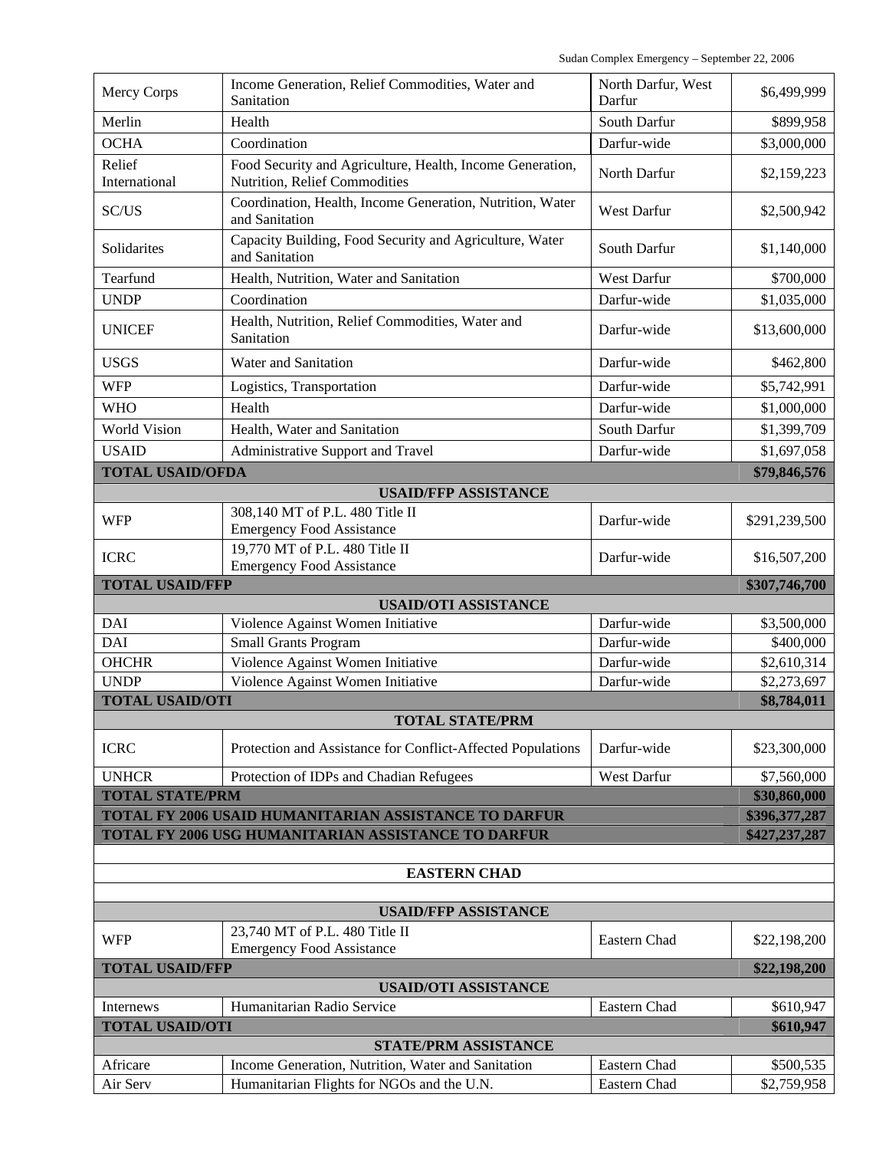| <b>Mercy Corps</b>      | Income Generation, Relief Commodities, Water and<br>Sanitation                                   | North Darfur, West<br>Darfur | \$6,499,999              |
|-------------------------|--------------------------------------------------------------------------------------------------|------------------------------|--------------------------|
| Merlin                  | Health                                                                                           | South Darfur                 | \$899,958                |
| <b>OCHA</b>             | Coordination                                                                                     | Darfur-wide                  | \$3,000,000              |
|                         |                                                                                                  |                              |                          |
| Relief<br>International | Food Security and Agriculture, Health, Income Generation,<br>Nutrition, Relief Commodities       | North Darfur                 | \$2,159,223              |
| SC/US                   | Coordination, Health, Income Generation, Nutrition, Water<br>and Sanitation                      | West Darfur                  | \$2,500,942              |
| Solidarites             | Capacity Building, Food Security and Agriculture, Water<br>and Sanitation                        | South Darfur                 | \$1,140,000              |
| Tearfund                | Health, Nutrition, Water and Sanitation                                                          | <b>West Darfur</b>           | \$700,000                |
| <b>UNDP</b>             | Coordination                                                                                     | Darfur-wide                  | \$1,035,000              |
| <b>UNICEF</b>           | Health, Nutrition, Relief Commodities, Water and<br>Sanitation                                   | Darfur-wide                  | \$13,600,000             |
| <b>USGS</b>             | Water and Sanitation                                                                             | Darfur-wide                  | \$462,800                |
| <b>WFP</b>              | Logistics, Transportation                                                                        | Darfur-wide                  | \$5,742,991              |
| <b>WHO</b>              | Health                                                                                           | Darfur-wide                  | \$1,000,000              |
| <b>World Vision</b>     | Health, Water and Sanitation                                                                     | South Darfur                 | \$1,399,709              |
| <b>USAID</b>            | Administrative Support and Travel                                                                | Darfur-wide                  | \$1,697,058              |
| <b>TOTAL USAID/OFDA</b> |                                                                                                  |                              | \$79,846,576             |
|                         | <b>USAID/FFP ASSISTANCE</b>                                                                      |                              |                          |
| <b>WFP</b>              | 308,140 MT of P.L. 480 Title II<br><b>Emergency Food Assistance</b>                              | Darfur-wide                  | \$291,239,500            |
| <b>ICRC</b>             | 19,770 MT of P.L. 480 Title II<br><b>Emergency Food Assistance</b>                               | Darfur-wide                  | \$16,507,200             |
|                         |                                                                                                  |                              |                          |
| <b>TOTAL USAID/FFP</b>  |                                                                                                  |                              | \$307,746,700            |
|                         | <b>USAID/OTI ASSISTANCE</b>                                                                      |                              |                          |
| <b>DAI</b>              | Violence Against Women Initiative                                                                | Darfur-wide                  | \$3,500,000              |
| <b>DAI</b>              | <b>Small Grants Program</b>                                                                      | Darfur-wide                  | \$400,000                |
| <b>OHCHR</b>            | Violence Against Women Initiative                                                                | Darfur-wide                  | \$2,610,314              |
| <b>UNDP</b>             | Violence Against Women Initiative                                                                | Darfur-wide                  | \$2,273,697              |
| <b>TOTAL USAID/OTI</b>  |                                                                                                  |                              | \$8,784,011              |
|                         | TOTAL STATE/PRM                                                                                  |                              |                          |
| <b>ICRC</b>             | Protection and Assistance for Conflict-Affected Populations                                      | Darfur-wide                  | \$23,300,000             |
| <b>UNHCR</b>            | Protection of IDPs and Chadian Refugees                                                          | West Darfur                  | \$7,560,000              |
| <b>TOTAL STATE/PRM</b>  |                                                                                                  |                              | \$30,860,000             |
|                         | TOTAL FY 2006 USAID HUMANITARIAN ASSISTANCE TO DARFUR                                            |                              | \$396,377,287            |
|                         | TOTAL FY 2006 USG HUMANITARIAN ASSISTANCE TO DARFUR                                              |                              | \$427,237,287            |
|                         |                                                                                                  |                              |                          |
|                         | <b>EASTERN CHAD</b>                                                                              |                              |                          |
|                         | <b>USAID/FFP ASSISTANCE</b>                                                                      |                              |                          |
| <b>WFP</b>              | 23,740 MT of P.L. 480 Title II<br><b>Emergency Food Assistance</b>                               | Eastern Chad                 | \$22,198,200             |
| <b>TOTAL USAID/FFP</b>  |                                                                                                  |                              | \$22,198,200             |
|                         | <b>USAID/OTI ASSISTANCE</b>                                                                      |                              |                          |
| Internews               | Humanitarian Radio Service                                                                       | Eastern Chad                 | \$610,947                |
| <b>TOTAL USAID/OTI</b>  |                                                                                                  |                              | \$610,947                |
|                         | <b>STATE/PRM ASSISTANCE</b>                                                                      |                              |                          |
| Africare<br>Air Serv    | Income Generation, Nutrition, Water and Sanitation<br>Humanitarian Flights for NGOs and the U.N. | Eastern Chad<br>Eastern Chad | \$500,535<br>\$2,759,958 |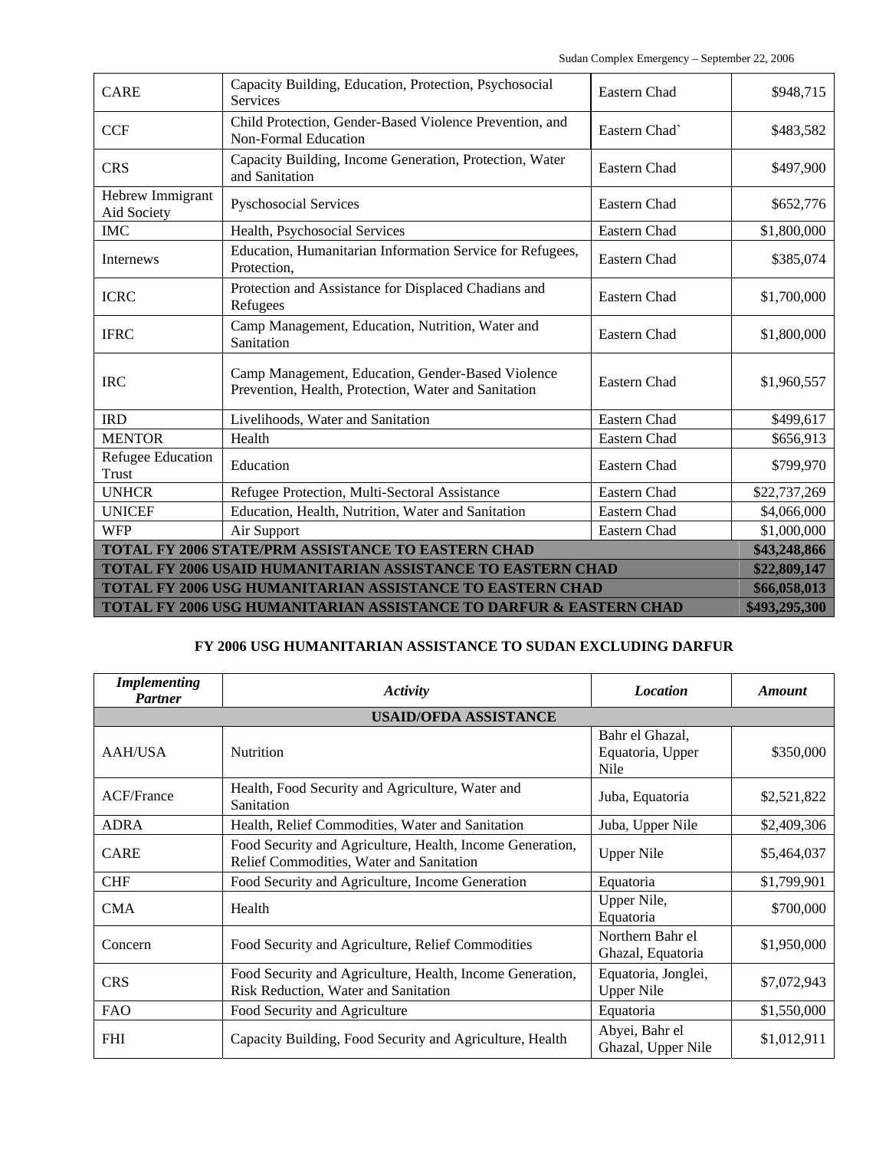| <b>CARE</b>                                                                   | Capacity Building, Education, Protection, Psychosocial<br>Services                                        | Eastern Chad  | \$948,715     |
|-------------------------------------------------------------------------------|-----------------------------------------------------------------------------------------------------------|---------------|---------------|
| <b>CCF</b>                                                                    | Child Protection, Gender-Based Violence Prevention, and<br><b>Non-Formal Education</b>                    | Eastern Chad` | \$483,582     |
| <b>CRS</b>                                                                    | Capacity Building, Income Generation, Protection, Water<br>and Sanitation                                 | Eastern Chad  | \$497,900     |
| Hebrew Immigrant<br>Aid Society                                               | <b>Pyschosocial Services</b>                                                                              | Eastern Chad  | \$652,776     |
| <b>IMC</b>                                                                    | Health, Psychosocial Services                                                                             | Eastern Chad  | \$1,800,000   |
| Internews                                                                     | Education, Humanitarian Information Service for Refugees,<br>Protection,                                  | Eastern Chad  | \$385,074     |
| <b>ICRC</b>                                                                   | Protection and Assistance for Displaced Chadians and<br>Refugees                                          | Eastern Chad  | \$1,700,000   |
| <b>IFRC</b>                                                                   | Camp Management, Education, Nutrition, Water and<br>Sanitation                                            | Eastern Chad  | \$1,800,000   |
| <b>IRC</b>                                                                    | Camp Management, Education, Gender-Based Violence<br>Prevention, Health, Protection, Water and Sanitation | Eastern Chad  | \$1,960,557   |
| <b>IRD</b>                                                                    | Livelihoods, Water and Sanitation                                                                         | Eastern Chad  | \$499,617     |
| <b>MENTOR</b>                                                                 | Health                                                                                                    | Eastern Chad  | \$656,913     |
| Refugee Education<br>Trust                                                    | Education                                                                                                 | Eastern Chad  | \$799,970     |
| <b>UNHCR</b>                                                                  | Refugee Protection, Multi-Sectoral Assistance                                                             | Eastern Chad  | \$22,737,269  |
| <b>UNICEF</b>                                                                 | Education, Health, Nutrition, Water and Sanitation                                                        | Eastern Chad  | \$4,066,000   |
| <b>WFP</b>                                                                    | Air Support                                                                                               | Eastern Chad  | \$1,000,000   |
| TOTAL FY 2006 STATE/PRM ASSISTANCE TO EASTERN CHAD                            |                                                                                                           |               | \$43,248,866  |
| <b>TOTAL FY 2006 USAID HUMANITARIAN ASSISTANCE TO EASTERN CHAD</b>            |                                                                                                           |               | \$22,809,147  |
| TOTAL FY 2006 USG HUMANITARIAN ASSISTANCE TO EASTERN CHAD                     |                                                                                                           |               | \$66,058,013  |
| <b>TOTAL FY 2006 USG HUMANITARIAN ASSISTANCE TO DARFUR &amp; EASTERN CHAD</b> |                                                                                                           |               | \$493,295,300 |

## **FY 2006 USG HUMANITARIAN ASSISTANCE TO SUDAN EXCLUDING DARFUR**

| <i>Implementing</i><br><b>Partner</b> | Activity                                                                                              | <b>Location</b>                             | <b>Amount</b> |
|---------------------------------------|-------------------------------------------------------------------------------------------------------|---------------------------------------------|---------------|
|                                       | <b>USAID/OFDA ASSISTANCE</b>                                                                          |                                             |               |
| AAH/USA                               | Nutrition                                                                                             | Bahr el Ghazal,<br>Equatoria, Upper<br>Nile | \$350,000     |
| <b>ACF/France</b>                     | Health, Food Security and Agriculture, Water and<br>Sanitation                                        | Juba, Equatoria                             | \$2,521,822   |
| <b>ADRA</b>                           | Health, Relief Commodities, Water and Sanitation                                                      | Juba, Upper Nile                            | \$2,409,306   |
| <b>CARE</b>                           | Food Security and Agriculture, Health, Income Generation,<br>Relief Commodities, Water and Sanitation | <b>Upper Nile</b>                           | \$5,464,037   |
| <b>CHF</b>                            | Food Security and Agriculture, Income Generation                                                      | Equatoria                                   | \$1,799,901   |
| <b>CMA</b>                            | Health                                                                                                | Upper Nile,<br>Equatoria                    | \$700,000     |
| Concern                               | Food Security and Agriculture, Relief Commodities                                                     | Northern Bahr el<br>Ghazal, Equatoria       | \$1,950,000   |
| <b>CRS</b>                            | Food Security and Agriculture, Health, Income Generation,<br>Risk Reduction, Water and Sanitation     | Equatoria, Jonglei,<br><b>Upper Nile</b>    | \$7,072,943   |
| <b>FAO</b>                            | Food Security and Agriculture                                                                         | Equatoria                                   | \$1,550,000   |
| <b>FHI</b>                            | Capacity Building, Food Security and Agriculture, Health                                              | Abyei, Bahr el<br>Ghazal, Upper Nile        | \$1,012,911   |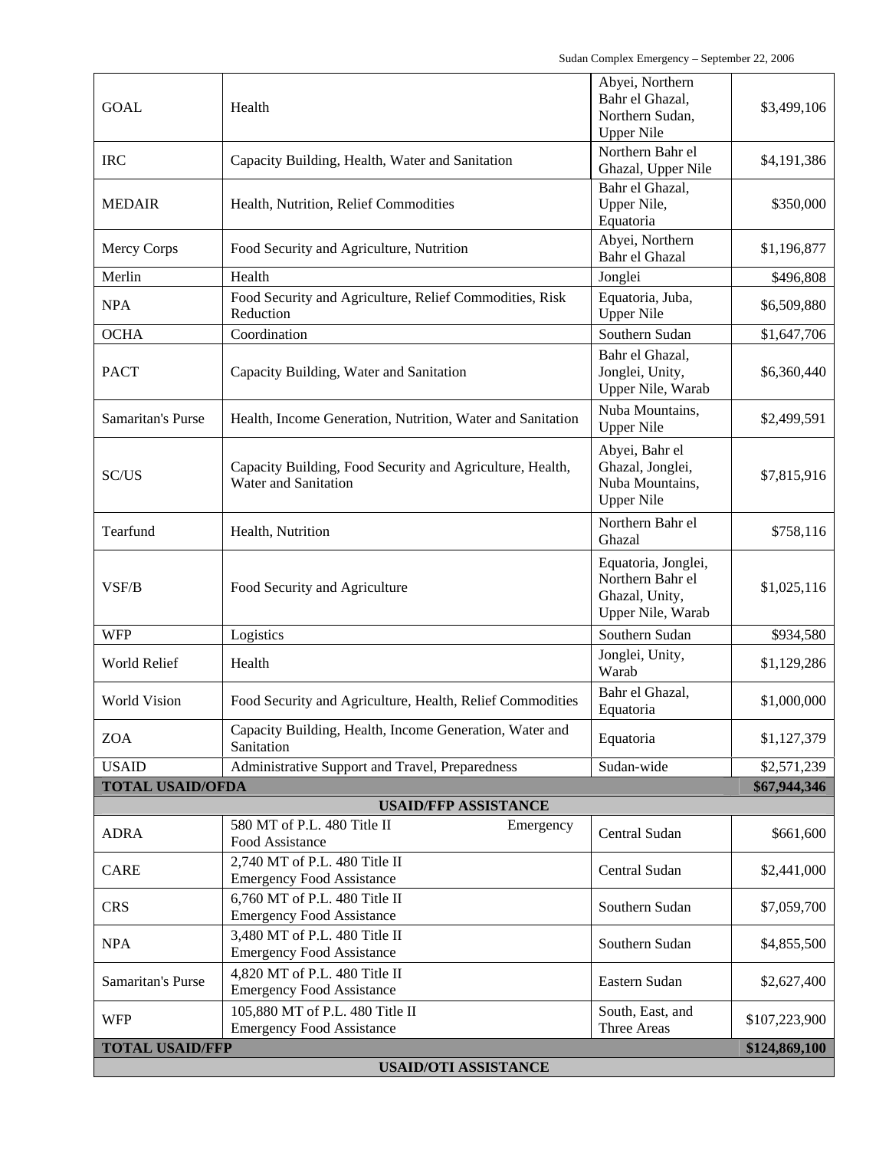| <b>USAID/OTI ASSISTANCE</b>             |                                                                                   |                                                                                |               |
|-----------------------------------------|-----------------------------------------------------------------------------------|--------------------------------------------------------------------------------|---------------|
| <b>TOTAL USAID/FFP</b><br>\$124,869,100 |                                                                                   |                                                                                |               |
| <b>WFP</b>                              | <b>Emergency Food Assistance</b>                                                  | Three Areas                                                                    | \$107,223,900 |
|                                         | 105,880 MT of P.L. 480 Title II                                                   | South, East, and                                                               |               |
| Samaritan's Purse                       | 4,820 MT of P.L. 480 Title II<br><b>Emergency Food Assistance</b>                 | Eastern Sudan                                                                  | \$2,627,400   |
| <b>NPA</b>                              | 3,480 MT of P.L. 480 Title II<br><b>Emergency Food Assistance</b>                 | Southern Sudan                                                                 | \$4,855,500   |
| <b>CRS</b>                              | <b>Emergency Food Assistance</b>                                                  | Southern Sudan                                                                 | \$7,059,700   |
|                                         | <b>Emergency Food Assistance</b><br>6,760 MT of P.L. 480 Title II                 |                                                                                |               |
| <b>CARE</b>                             | Food Assistance<br>2,740 MT of P.L. 480 Title II                                  | Central Sudan                                                                  | \$2,441,000   |
| <b>ADRA</b>                             | 580 MT of P.L. 480 Title II<br>Emergency                                          | Central Sudan                                                                  | \$661,600     |
| <b>USAID/FFP ASSISTANCE</b>             |                                                                                   |                                                                                |               |
| <b>TOTAL USAID/OFDA</b>                 |                                                                                   |                                                                                | \$67,944,346  |
| <b>USAID</b>                            | Sanitation<br>Administrative Support and Travel, Preparedness                     | Sudan-wide                                                                     | \$2,571,239   |
| <b>ZOA</b>                              | Capacity Building, Health, Income Generation, Water and                           | Equatoria<br>Equatoria                                                         | \$1,127,379   |
| <b>World Vision</b>                     | Food Security and Agriculture, Health, Relief Commodities                         | Bahr el Ghazal,                                                                | \$1,000,000   |
| World Relief                            | Health                                                                            | Jonglei, Unity,<br>Warab                                                       | \$1,129,286   |
| <b>WFP</b>                              | Logistics                                                                         | Southern Sudan                                                                 | \$934,580     |
| VSF/B                                   | Food Security and Agriculture                                                     | Equatoria, Jonglei,<br>Northern Bahr el<br>Ghazal, Unity,<br>Upper Nile, Warab | \$1,025,116   |
| Tearfund                                | Health, Nutrition                                                                 | Northern Bahr el<br>Ghazal                                                     | \$758,116     |
| SC/US                                   | Capacity Building, Food Security and Agriculture, Health,<br>Water and Sanitation | Abyei, Bahr el<br>Ghazal, Jonglei,<br>Nuba Mountains,<br><b>Upper Nile</b>     | \$7,815,916   |
| Samaritan's Purse                       | Health, Income Generation, Nutrition, Water and Sanitation                        | Nuba Mountains,<br><b>Upper Nile</b>                                           | \$2,499,591   |
| <b>PACT</b>                             | Capacity Building, Water and Sanitation                                           | Bahr el Ghazal,<br>Jonglei, Unity,<br>Upper Nile, Warab                        | \$6,360,440   |
| <b>OCHA</b>                             | Coordination                                                                      | Southern Sudan                                                                 | \$1,647,706   |
| <b>NPA</b>                              | Food Security and Agriculture, Relief Commodities, Risk<br>Reduction              | Equatoria, Juba,<br><b>Upper Nile</b>                                          | \$6,509,880   |
| Merlin                                  | Health                                                                            | Jonglei                                                                        | \$496,808     |
| <b>Mercy Corps</b>                      | Food Security and Agriculture, Nutrition                                          | Abyei, Northern<br>Bahr el Ghazal                                              | \$1,196,877   |
| <b>MEDAIR</b>                           | Health, Nutrition, Relief Commodities                                             | Bahr el Ghazal,<br>Upper Nile,<br>Equatoria                                    | \$350,000     |
| <b>IRC</b>                              | Capacity Building, Health, Water and Sanitation                                   | Northern Bahr el<br>Ghazal, Upper Nile                                         | \$4,191,386   |
| <b>GOAL</b>                             | Health                                                                            | Abyei, Northern<br>Bahr el Ghazal,<br>Northern Sudan,<br><b>Upper Nile</b>     | \$3,499,106   |